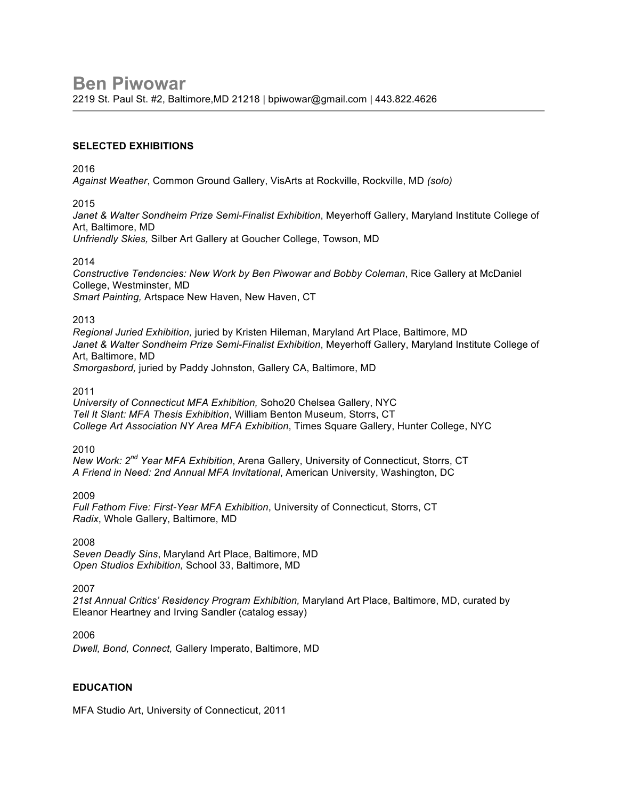#### **SELECTED EXHIBITIONS**

2016

*Against Weather*, Common Ground Gallery, VisArts at Rockville, Rockville, MD *(solo)*

2015

*Janet & Walter Sondheim Prize Semi-Finalist Exhibition*, Meyerhoff Gallery, Maryland Institute College of Art, Baltimore, MD

*Unfriendly Skies,* Silber Art Gallery at Goucher College, Towson, MD

2014

*Constructive Tendencies: New Work by Ben Piwowar and Bobby Coleman*, Rice Gallery at McDaniel College, Westminster, MD *Smart Painting,* Artspace New Haven, New Haven, CT

2013

*Regional Juried Exhibition,* juried by Kristen Hileman, Maryland Art Place, Baltimore, MD *Janet & Walter Sondheim Prize Semi-Finalist Exhibition*, Meyerhoff Gallery, Maryland Institute College of Art, Baltimore, MD *Smorgasbord,* juried by Paddy Johnston, Gallery CA, Baltimore, MD

2011

*University of Connecticut MFA Exhibition,* Soho20 Chelsea Gallery, NYC *Tell It Slant: MFA Thesis Exhibition*, William Benton Museum, Storrs, CT *College Art Association NY Area MFA Exhibition*, Times Square Gallery, Hunter College, NYC

2010

*New Work: 2nd Year MFA Exhibition*, Arena Gallery, University of Connecticut, Storrs, CT *A Friend in Need: 2nd Annual MFA Invitational*, American University, Washington, DC

2009

*Full Fathom Five: First-Year MFA Exhibition*, University of Connecticut, Storrs, CT *Radix*, Whole Gallery, Baltimore, MD

2008

*Seven Deadly Sins*, Maryland Art Place, Baltimore, MD *Open Studios Exhibition,* School 33, Baltimore, MD

2007

*21st Annual Critics' Residency Program Exhibition,* Maryland Art Place, Baltimore, MD, curated by Eleanor Heartney and Irving Sandler (catalog essay)

2006

*Dwell, Bond, Connect,* Gallery Imperato, Baltimore, MD

## **EDUCATION**

MFA Studio Art, University of Connecticut, 2011